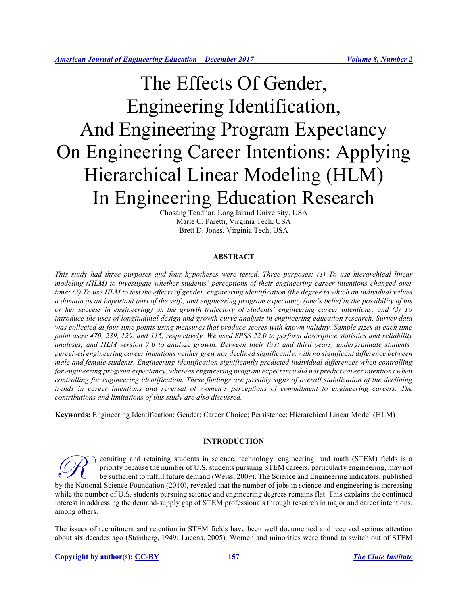# The Effects Of Gender, Engineering Identification, And Engineering Program Expectancy On Engineering Career Intentions: Applying Hierarchical Linear Modeling (HLM) In Engineering Education Research

Chosang Tendhar, Long Island University, USA Marie C. Paretti, Virginia Tech, USA Brett D. Jones, Virginia Tech, USA

# **ABSTRACT**

*This study had three purposes and four hypotheses were tested. Three purposes: (1) To use hierarchical linear modeling (HLM) to investigate whether students' perceptions of their engineering career intentions changed over time; (2) To use HLM to test the effects of gender, engineering identification (the degree to which an individual values a domain as an important part of the self), and engineering program expectancy (one's belief in the possibility of his or her success in engineering) on the growth trajectory of students' engineering career intentions; and (3) To introduce the uses of longitudinal design and growth curve analysis in engineering education research. Survey data*  was collected at four time points using measures that produce scores with known validity. Sample sizes at each time *point were 470, 239, 129, and 115, respectively. We used SPSS 22.0 to perform descriptive statistics and reliability analyses, and HLM version 7.0 to analyze growth. Between their first and third years, undergraduate students' perceived engineering career intentions neither grew nor declined significantly, with no significant difference between male and female students. Engineering identification significantly predicted individual differences when controlling for engineering program expectancy, whereas engineering program expectancy did not predict career intentions when controlling for engineering identification. These findings are possibly signs of overall stabilization of the declining trends in career intentions and reversal of women's perceptions of commitment to engineering careers. The contributions and limitations of this study are also discussed.* 

**Keywords:** Engineering Identification; Gender; Career Choice; Persistence; Hierarchical Linear Model (HLM)

# **INTRODUCTION**

ecruiting and retaining students in science, technology, engineering, and math (STEM) fields is a priority because the number of U.S. students pursuing STEM careers, particularly engineering, may not be sufficient to fulfill future demand (Weiss, 2009). The Science and Engineering indicators, published **by the National Science Foundation (2010)**, revealed that the number of jobs in science and engineering, may not be sufficient to fulfill future demand (Weiss, 2009). The Science and Engineering indicators, published by t while the number of U.S. students pursuing science and engineering degrees remains flat. This explains the continued interest in addressing the demand-supply gap of STEM professionals through research in major and career intentions, among others.

The issues of recruitment and retention in STEM fields have been well documented and received serious attention about six decades ago (Steinberg, 1949; Lucena, 2005). Women and minorities were found to switch out of STEM

## **Copyright by author(s); CC-BY 157** *The Clute Institute*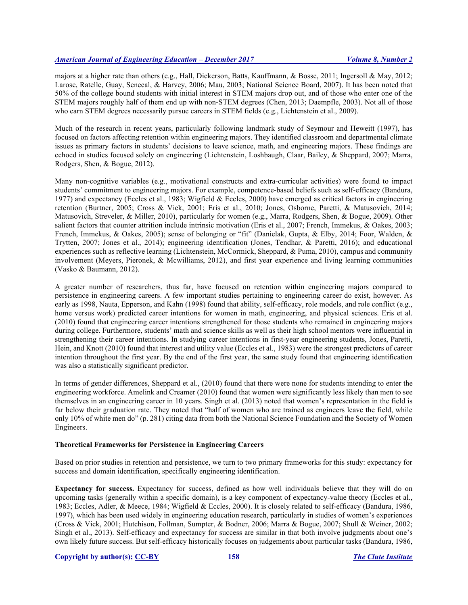majors at a higher rate than others (e.g., Hall, Dickerson, Batts, Kauffmann, & Bosse, 2011; Ingersoll & May, 2012; Larose, Ratelle, Guay, Senecal, & Harvey, 2006; Mau, 2003; National Science Board, 2007). It has been noted that 50% of the college bound students with initial interest in STEM majors drop out, and of those who enter one of the STEM majors roughly half of them end up with non-STEM degrees (Chen, 2013; Daempfle, 2003). Not all of those who earn STEM degrees necessarily pursue careers in STEM fields (e.g., Lichtenstein et al., 2009).

Much of the research in recent years, particularly following landmark study of Seymour and Heweitt (1997), has focused on factors affecting retention within engineering majors. They identified classroom and departmental climate issues as primary factors in students' decisions to leave science, math, and engineering majors. These findings are echoed in studies focused solely on engineering (Lichtenstein, Loshbaugh, Claar, Bailey, & Sheppard, 2007; Marra, Rodgers, Shen, & Bogue, 2012).

Many non-cognitive variables (e.g., motivational constructs and extra-curricular activities) were found to impact students' commitment to engineering majors. For example, competence-based beliefs such as self-efficacy (Bandura, 1977) and expectancy (Eccles et al., 1983; Wigfield & Eccles, 2000) have emerged as critical factors in engineering retention (Burtner, 2005; Cross & Vick, 2001; Eris et al., 2010; Jones, Osborne, Paretti, & Matusovich, 2014; Matusovich, Streveler, & Miller, 2010), particularly for women (e.g., Marra, Rodgers, Shen, & Bogue, 2009). Other salient factors that counter attrition include intrinsic motivation (Eris et al., 2007; French, Immekus, & Oakes, 2003; French, Immekus, & Oakes, 2005); sense of belonging or "fit" (Danielak, Gupta, & Elby, 2014; Foor, Walden, & Trytten, 2007; Jones et al., 2014); engineering identification (Jones, Tendhar, & Paretti, 2016); and educational experiences such as reflective learning (Lichtenstein, McCormick, Sheppard, & Puma, 2010), campus and community involvement (Meyers, Pieronek, & Mcwilliams, 2012), and first year experience and living learning communities (Vasko & Baumann, 2012).

A greater number of researchers, thus far, have focused on retention within engineering majors compared to persistence in engineering careers. A few important studies pertaining to engineering career do exist, however. As early as 1998, Nauta, Epperson, and Kahn (1998) found that ability, self-efficacy, role models, and role conflict (e.g., home versus work) predicted career intentions for women in math, engineering, and physical sciences. Eris et al. (2010) found that engineering career intentions strengthened for those students who remained in engineering majors during college. Furthermore, students' math and science skills as well as their high school mentors were influential in strengthening their career intentions. In studying career intentions in first-year engineering students, Jones, Paretti, Hein, and Knott (2010) found that interest and utility value (Eccles et al., 1983) were the strongest predictors of career intention throughout the first year. By the end of the first year, the same study found that engineering identification was also a statistically significant predictor.

In terms of gender differences, Sheppard et al., (2010) found that there were none for students intending to enter the engineering workforce. Amelink and Creamer (2010) found that women were significantly less likely than men to see themselves in an engineering career in 10 years. Singh et al. (2013) noted that women's representation in the field is far below their graduation rate. They noted that "half of women who are trained as engineers leave the field, while only 10% of white men do" (p. 281) citing data from both the National Science Foundation and the Society of Women Engineers.

# **Theoretical Frameworks for Persistence in Engineering Careers**

Based on prior studies in retention and persistence, we turn to two primary frameworks for this study: expectancy for success and domain identification, specifically engineering identification.

**Expectancy for success.** Expectancy for success, defined as how well individuals believe that they will do on upcoming tasks (generally within a specific domain), is a key component of expectancy-value theory (Eccles et al., 1983; Eccles, Adler, & Meece, 1984; Wigfield & Eccles, 2000). It is closely related to self-efficacy (Bandura, 1986, 1997), which has been used widely in engineering education research, particularly in studies of women's experiences (Cross & Vick, 2001; Hutchison, Follman, Sumpter, & Bodner, 2006; Marra & Bogue, 2007; Shull & Weiner, 2002; Singh et al., 2013). Self-efficacy and expectancy for success are similar in that both involve judgments about one's own likely future success. But self-efficacy historically focuses on judgements about particular tasks (Bandura, 1986,

#### **Copyright by author(s); CC-BY 158** *The Clute Institute*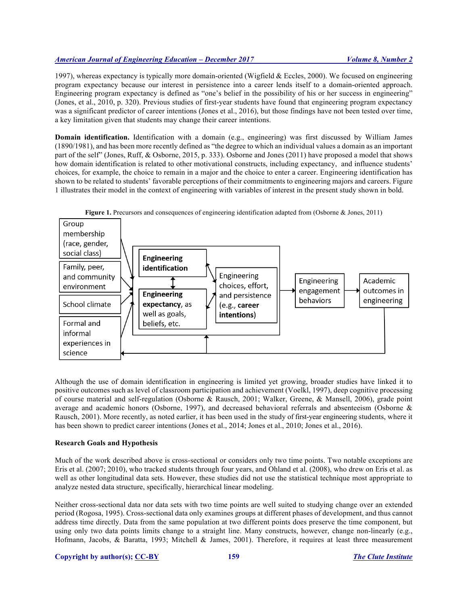1997), whereas expectancy is typically more domain-oriented (Wigfield & Eccles, 2000). We focused on engineering program expectancy because our interest in persistence into a career lends itself to a domain-oriented approach. Engineering program expectancy is defined as "one's belief in the possibility of his or her success in engineering" (Jones, et al., 2010, p. 320). Previous studies of first-year students have found that engineering program expectancy was a significant predictor of career intentions (Jones et al., 2016), but those findings have not been tested over time, a key limitation given that students may change their career intentions.

**Domain identification.** Identification with a domain (e.g., engineering) was first discussed by William James (1890/1981), and has been more recently defined as "the degree to which an individual values a domain as an important part of the self" (Jones, Ruff, & Osborne, 2015, p. 333). Osborne and Jones (2011) have proposed a model that shows how domain identification is related to other motivational constructs, including expectancy, and influence students' choices, for example, the choice to remain in a major and the choice to enter a career. Engineering identification has shown to be related to students' favorable perceptions of their commitments to engineering majors and careers. Figure 1 illustrates their model in the context of engineering with variables of interest in the present study shown in bold.





Although the use of domain identification in engineering is limited yet growing, broader studies have linked it to positive outcomes such as level of classroom participation and achievement (Voelkl, 1997), deep cognitive processing of course material and self-regulation (Osborne & Rausch, 2001; Walker, Greene, & Mansell, 2006), grade point average and academic honors (Osborne, 1997), and decreased behavioral referrals and absenteeism (Osborne & Rausch, 2001). More recently, as noted earlier, it has been used in the study of first-year engineering students, where it has been shown to predict career intentions (Jones et al., 2014; Jones et al., 2010; Jones et al., 2016).

# **Research Goals and Hypothesis**

Much of the work described above is cross-sectional or considers only two time points. Two notable exceptions are Eris et al. (2007; 2010), who tracked students through four years, and Ohland et al. (2008), who drew on Eris et al. as well as other longitudinal data sets. However, these studies did not use the statistical technique most appropriate to analyze nested data structure, specifically, hierarchical linear modeling.

Neither cross-sectional data nor data sets with two time points are well suited to studying change over an extended period (Rogosa, 1995). Cross-sectional data only examines groups at different phases of development, and thus cannot address time directly. Data from the same population at two different points does preserve the time component, but using only two data points limits change to a straight line. Many constructs, however, change non-linearly (e.g., Hofmann, Jacobs, & Baratta, 1993; Mitchell & James, 2001). Therefore, it requires at least three measurement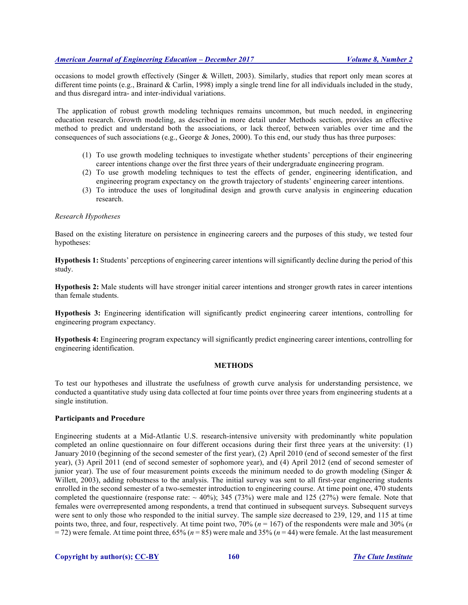occasions to model growth effectively (Singer & Willett, 2003). Similarly, studies that report only mean scores at different time points (e.g., Brainard & Carlin, 1998) imply a single trend line for all individuals included in the study, and thus disregard intra- and inter-individual variations.

The application of robust growth modeling techniques remains uncommon, but much needed, in engineering education research. Growth modeling, as described in more detail under Methods section, provides an effective method to predict and understand both the associations, or lack thereof, between variables over time and the consequences of such associations (e.g., George  $&$  Jones, 2000). To this end, our study thus has three purposes:

- (1) To use growth modeling techniques to investigate whether students' perceptions of their engineering career intentions change over the first three years of their undergraduate engineering program.
- (2) To use growth modeling techniques to test the effects of gender, engineering identification, and engineering program expectancy on the growth trajectory of students' engineering career intentions.
- (3) To introduce the uses of longitudinal design and growth curve analysis in engineering education research.

## *Research Hypotheses*

Based on the existing literature on persistence in engineering careers and the purposes of this study, we tested four hypotheses:

**Hypothesis 1:** Students' perceptions of engineering career intentions will significantly decline during the period of this study.

**Hypothesis 2:** Male students will have stronger initial career intentions and stronger growth rates in career intentions than female students.

**Hypothesis 3:** Engineering identification will significantly predict engineering career intentions, controlling for engineering program expectancy.

**Hypothesis 4:** Engineering program expectancy will significantly predict engineering career intentions, controlling for engineering identification.

# **METHODS**

To test our hypotheses and illustrate the usefulness of growth curve analysis for understanding persistence, we conducted a quantitative study using data collected at four time points over three years from engineering students at a single institution.

## **Participants and Procedure**

Engineering students at a Mid-Atlantic U.S. research-intensive university with predominantly white population completed an online questionnaire on four different occasions during their first three years at the university: (1) January 2010 (beginning of the second semester of the first year), (2) April 2010 (end of second semester of the first year), (3) April 2011 (end of second semester of sophomore year), and (4) April 2012 (end of second semester of junior year). The use of four measurement points exceeds the minimum needed to do growth modeling (Singer  $\&$ Willett, 2003), adding robustness to the analysis. The initial survey was sent to all first-year engineering students enrolled in the second semester of a two-semester introduction to engineering course. At time point one, 470 students completed the questionnaire (response rate:  $\sim 40\%$ ); 345 (73%) were male and 125 (27%) were female. Note that females were overrepresented among respondents, a trend that continued in subsequent surveys. Subsequent surveys were sent to only those who responded to the initial survey. The sample size decreased to 239, 129, and 115 at time points two, three, and four, respectively. At time point two, 70% (*n* = 167) of the respondents were male and 30% (*n* = 72) were female. At time point three, 65% (*n* = 85) were male and 35% (*n* = 44) were female. At the last measurement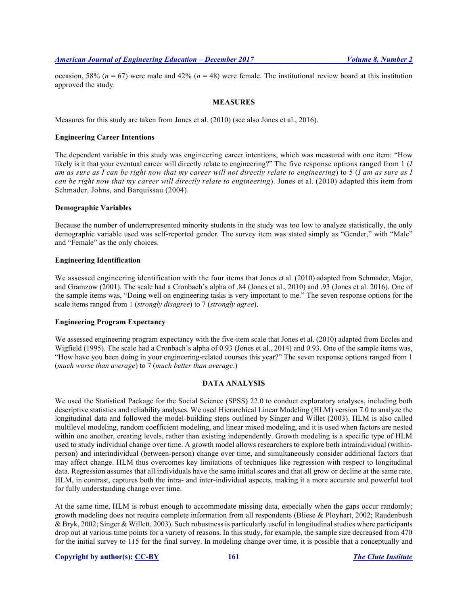occasion, 58% ( $n = 67$ ) were male and 42% ( $n = 48$ ) were female. The institutional review board at this institution approved the study.

## **MEASURES**

Measures for this study are taken from Jones et al. (2010) (see also Jones et al., 2016).

#### **Engineering Career Intentions**

The dependent variable in this study was engineering career intentions, which was measured with one item: "How likely is it that your eventual career will directly relate to engineering?" The five response options ranged from 1 (*I am as sure as I can be right now that my career will not directly relate to engineering*) to 5 (*I am as sure as I can be right now that my career will directly relate to engineering*). Jones et al. (2010) adapted this item from Schmader, Johns, and Barquissau (2004).

## **Demographic Variables**

Because the number of underrepresented minority students in the study was too low to analyze statistically, the only demographic variable used was self-reported gender. The survey item was stated simply as "Gender," with "Male" and "Female" as the only choices.

# **Engineering Identification**

We assessed engineering identification with the four items that Jones et al. (2010) adapted from Schmader, Major, and Gramzow (2001). The scale had a Cronbach's alpha of .84 (Jones et al., 2010) and .93 (Jones et al. 2016). One of the sample items was, "Doing well on engineering tasks is very important to me." The seven response options for the scale items ranged from 1 (*strongly disagree*) to 7 (*strongly agree*).

# **Engineering Program Expectancy**

We assessed engineering program expectancy with the five-item scale that Jones et al. (2010) adapted from Eccles and Wigfield (1995). The scale had a Cronbach's alpha of 0.93 (Jones et al., 2014) and 0.93. One of the sample items was, "How have you been doing in your engineering-related courses this year?" The seven response options ranged from 1 (*much worse than average*) to 7 (*much better than average*.)

# **DATA ANALYSIS**

We used the Statistical Package for the Social Science (SPSS) 22.0 to conduct exploratory analyses, including both descriptive statistics and reliability analyses. We used Hierarchical Linear Modeling (HLM) version 7.0 to analyze the longitudinal data and followed the model-building steps outlined by Singer and Willet (2003). HLM is also called multilevel modeling, random coefficient modeling, and linear mixed modeling, and it is used when factors are nested within one another, creating levels, rather than existing independently. Growth modeling is a specific type of HLM used to study individual change over time. A growth model allows researchers to explore both intraindividual (withinperson) and interindividual (between-person) change over time, and simultaneously consider additional factors that may affect change. HLM thus overcomes key limitations of techniques like regression with respect to longitudinal data. Regression assumes that all individuals have the same initial scores and that all grow or decline at the same rate. HLM, in contrast, captures both the intra- and inter-individual aspects, making it a more accurate and powerful tool for fully understanding change over time.

At the same time, HLM is robust enough to accommodate missing data, especially when the gaps occur randomly; growth modeling does not require complete information from all respondents (Bliese & Ployhart, 2002; Raudenbush & Bryk, 2002; Singer & Willett, 2003). Such robustness is particularly useful in longitudinal studies where participants drop out at various time points for a variety of reasons. In this study, for example, the sample size decreased from 470 for the initial survey to 115 for the final survey. In modeling change over time, it is possible that a conceptually and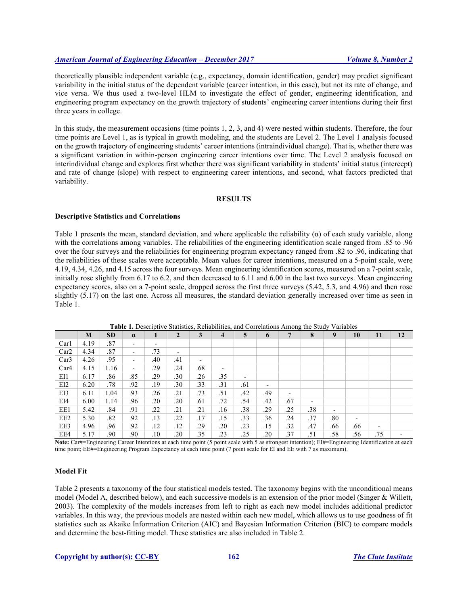theoretically plausible independent variable (e.g., expectancy, domain identification, gender) may predict significant variability in the initial status of the dependent variable (career intention, in this case), but not its rate of change, and vice versa. We thus used a two-level HLM to investigate the effect of gender, engineering identification, and engineering program expectancy on the growth trajectory of students' engineering career intentions during their first three years in college.

In this study, the measurement occasions (time points 1, 2, 3, and 4) were nested within students. Therefore, the four time points are Level 1, as is typical in growth modeling, and the students are Level 2. The Level 1 analysis focused on the growth trajectory of engineering students' career intentions (intraindividual change). That is, whether there was a significant variation in within-person engineering career intentions over time. The Level 2 analysis focused on interindividual change and explores first whether there was significant variability in students' initial status (intercept) and rate of change (slope) with respect to engineering career intentions, and second, what factors predicted that variability.

## **RESULTS**

# **Descriptive Statistics and Correlations**

Table 1 presents the mean, standard deviation, and where applicable the reliability  $(\alpha)$  of each study variable, along with the correlations among variables. The reliabilities of the engineering identification scale ranged from .85 to .96 over the four surveys and the reliabilities for engineering program expectancy ranged from .82 to .96, indicating that the reliabilities of these scales were acceptable. Mean values for career intentions, measured on a 5-point scale, were 4.19, 4.34, 4.26, and 4.15 across the four surveys. Mean engineering identification scores, measured on a 7-point scale, initially rose slightly from 6.17 to 6.2, and then decreased to 6.11 and 6.00 in the last two surveys. Mean engineering expectancy scores, also on a 7-point scale, dropped across the first three surveys (5.42, 5.3, and 4.96) and then rose slightly (5.17) on the last one. Across all measures, the standard deviation generally increased over time as seen in Table 1.

|                  | M    | <b>SD</b> | $\alpha$                 | 1   | $\overline{2}$           | 3                        | $\overline{\mathbf{4}}$  | 5                        | 6                        | 7                        | 8                        | 9                        | 10  | 11                       | 12 |
|------------------|------|-----------|--------------------------|-----|--------------------------|--------------------------|--------------------------|--------------------------|--------------------------|--------------------------|--------------------------|--------------------------|-----|--------------------------|----|
| Car1             | 4.19 | .87       | $\overline{\phantom{a}}$ | ٠   |                          |                          |                          |                          |                          |                          |                          |                          |     |                          |    |
| Car <sub>2</sub> | 4.34 | .87       | $\overline{\phantom{a}}$ | .73 | $\overline{\phantom{a}}$ |                          |                          |                          |                          |                          |                          |                          |     |                          |    |
| Car3             | 4.26 | .95       | $\overline{\phantom{a}}$ | .40 | .41                      | $\overline{\phantom{a}}$ |                          |                          |                          |                          |                          |                          |     |                          |    |
| Car4             | 4.15 | 1.16      | ۰                        | .29 | .24                      | .68                      | $\overline{\phantom{a}}$ |                          |                          |                          |                          |                          |     |                          |    |
| EI1              | 6.17 | .86       | .85                      | .29 | .30                      | .26                      | .35                      | $\overline{\phantom{a}}$ |                          |                          |                          |                          |     |                          |    |
| EI2              | 6.20 | .78       | .92                      | .19 | .30                      | .33                      | .31                      | .61                      | $\overline{\phantom{a}}$ |                          |                          |                          |     |                          |    |
| EI3              | 6.11 | 1.04      | .93                      | .26 | .21                      | .73                      | .51                      | .42                      | .49                      | $\overline{\phantom{a}}$ |                          |                          |     |                          |    |
| EI4              | 6.00 | 1.14      | .96                      | .20 | .20                      | .61                      | .72                      | .54                      | .42                      | .67                      | $\overline{\phantom{a}}$ |                          |     |                          |    |
| EE1              | 5.42 | .84       | .91                      | .22 | .21                      | .21                      | .16                      | .38                      | .29                      | .25                      | .38                      | $\overline{\phantom{a}}$ |     |                          |    |
| EE <sub>2</sub>  | 5.30 | .82       | .92                      | .13 | .22                      | .17                      | .15                      | .33                      | .36                      | .24                      | .37                      | .80                      | ٠   |                          |    |
| EE3              | 4.96 | .96       | .92                      | .12 | .12                      | .29                      | .20                      | .23                      | .15                      | .32                      | .47                      | .66                      | .66 | $\overline{\phantom{a}}$ |    |
| EE4              | 5.17 | .90       | .90                      | .10 | .20                      | .35                      | .23                      | .25                      | .20                      | .37                      | .51                      | .58                      | .56 | .75                      |    |

**Table 1.** Descriptive Statistics, Reliabilities, and Correlations Among the Study Variables

Note: Car#=Engineering Career Intentions at each time point (5 point scale with 5 as strongest intention); EI#=Engineering Identification at each time point; EE#=Engineering Program Expectancy at each time point (7 point scale for EI and EE with 7 as maximum).

# **Model Fit**

Table 2 presents a taxonomy of the four statistical models tested. The taxonomy begins with the unconditional means model (Model A, described below), and each successive models is an extension of the prior model (Singer & Willett, 2003). The complexity of the models increases from left to right as each new model includes additional predictor variables. In this way, the previous models are nested within each new model, which allows us to use goodness of fit statistics such as Akaike Information Criterion (AIC) and Bayesian Information Criterion (BIC) to compare models and determine the best-fitting model. These statistics are also included in Table 2.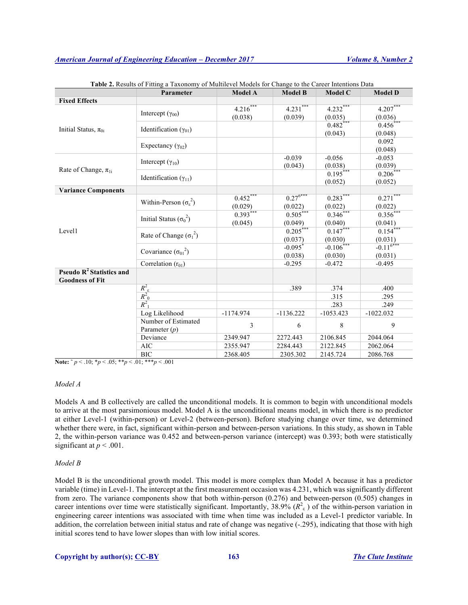|                                            | Parameter                             | <b>Model A</b> | <b>Model B</b>        | <b>Model C</b>          | <b>Model D</b>                 |  |
|--------------------------------------------|---------------------------------------|----------------|-----------------------|-------------------------|--------------------------------|--|
| <b>Fixed Effects</b>                       |                                       |                |                       |                         |                                |  |
|                                            |                                       | $4.216***$     | $4.231***$            | $4.232***$              | $4.207***$                     |  |
|                                            | Intercept $(\gamma_{00})$             | (0.038)        | (0.039)               | (0.035)                 | (0.036)                        |  |
| Initial Status, $\pi_{0i}$                 | Identification $(\gamma_{01})$        |                |                       | $0.482***$              | $0.456$ ***                    |  |
|                                            |                                       |                |                       | (0.043)                 | (0.048)                        |  |
|                                            | Expectancy $(\gamma_{02})$            |                |                       |                         | 0.092                          |  |
|                                            |                                       |                |                       |                         | (0.048)                        |  |
|                                            | Intercept $(\gamma_{10})$             |                | $-0.039$              | $-0.056$                | $-0.053$                       |  |
| Rate of Change, $\pi_{1i}$                 |                                       |                | (0.043)               | (0.038)                 | (0.039)                        |  |
|                                            | Identification $(\gamma_{11})$        |                |                       | $0.195***$              | $0.206*$                       |  |
|                                            |                                       |                |                       | (0.052)                 | (0.052)                        |  |
| <b>Variance Components</b>                 |                                       |                |                       |                         |                                |  |
|                                            | Within-Person $(\sigma_{\epsilon}^2)$ | $0.452***$     | $0.27^{6***}$         | $0.283***$              | $0.271***$                     |  |
|                                            |                                       | (0.029)        | (0.022)               | (0.022)                 | (0.022)                        |  |
|                                            | Initial Status ( $\sigma_0^2$ )       | $0.393***$     | $0.505***$            | $0.346***$              | $0.356***$                     |  |
|                                            |                                       | (0.045)        | (0.049)               | (0.040)                 | (0.041)                        |  |
| Level1                                     | Rate of Change $(\sigma_1^2)$         |                | $0.205***$            | $0.147***$              | $0.154***$                     |  |
|                                            |                                       |                | (0.037)               | (0.030)                 | $\frac{(0.031)}{-0.11^{6***}}$ |  |
|                                            | Covariance $(\sigma_{01}^2)$          |                | $-0.095$ <sup>*</sup> | $-0.106$ <sup>***</sup> |                                |  |
|                                            |                                       |                | (0.038)               | (0.030)                 | (0.031)                        |  |
|                                            | Correlation $(r_{01})$                |                | $-0.295$              | $-0.472$                | $-0.495$                       |  |
| <b>Pseudo R<sup>2</sup> Statistics and</b> |                                       |                |                       |                         |                                |  |
| <b>Goodness of Fit</b>                     |                                       |                |                       |                         |                                |  |
|                                            | $\frac{R_{\rm e}^2}{R_{\rm 0}^2}$     |                | .389                  | .374                    | .400                           |  |
|                                            |                                       |                |                       | .315                    | .295                           |  |
|                                            | $R_1^2$                               |                |                       | .283                    | .249                           |  |
|                                            | Log Likelihood                        | $-1174.974$    | $-1136.222$           | $-1053.423$             | $-1022.032$                    |  |
|                                            | Number of Estimated                   | 3              | 6                     | 8                       | 9                              |  |
|                                            | Parameter $(p)$                       |                |                       |                         |                                |  |
|                                            | Deviance                              | 2349.947       | 2272.443              | 2106.845                | 2044.064                       |  |
|                                            | <b>AIC</b>                            | 2355.947       | 2284.443              | 2122.845                | 2062.064                       |  |
|                                            | <b>BIC</b>                            | 2368.405       | 2305.302              | 2145.724                | 2086.768                       |  |

**Table 2.** Results of Fitting a Taxonomy of Multilevel Models for Change to the Career Intentions Data

**Note:**  $\gamma p < .10$ ;  $\gamma p < .05$ ;  $\gamma p < .01$ ;  $\gamma p < .001$ 

# *Model A*

Models A and B collectively are called the unconditional models. It is common to begin with unconditional models to arrive at the most parsimonious model. Model A is the unconditional means model, in which there is no predictor at either Level-1 (within-person) or Level-2 (between-person). Before studying change over time, we determined whether there were, in fact, significant within-person and between-person variations. In this study, as shown in Table 2, the within-person variance was 0.452 and between-person variance (intercept) was 0.393; both were statistically significant at  $p < .001$ .

#### *Model B*

Model B is the unconditional growth model. This model is more complex than Model A because it has a predictor variable (time) in Level-1. The intercept at the first measurement occasion was 4.231, which was significantly different from zero. The variance components show that both within-person (0.276) and between-person (0.505) changes in career intentions over time were statistically significant. Importantly, 38.9%  $(R^2_{\epsilon})$  of the within-person variation in engineering career intentions was associated with time when time was included as a Level-1 predictor variable. In addition, the correlation between initial status and rate of change was negative (-.295), indicating that those with high initial scores tend to have lower slopes than with low initial scores.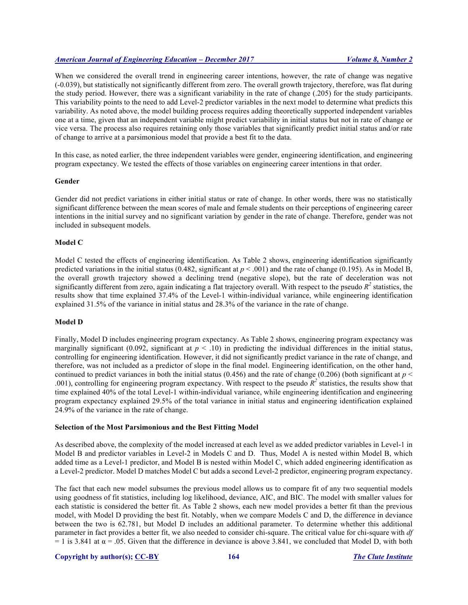When we considered the overall trend in engineering career intentions, however, the rate of change was negative (-0.039), but statistically not significantly different from zero. The overall growth trajectory, therefore, was flat during the study period. However, there was a significant variability in the rate of change (.205) for the study participants. This variability points to the need to add Level-2 predictor variables in the next model to determine what predicts this variability. As noted above, the model building process requires adding theoretically supported independent variables one at a time, given that an independent variable might predict variability in initial status but not in rate of change or vice versa. The process also requires retaining only those variables that significantly predict initial status and/or rate of change to arrive at a parsimonious model that provide a best fit to the data.

In this case, as noted earlier, the three independent variables were gender, engineering identification, and engineering program expectancy. We tested the effects of those variables on engineering career intentions in that order.

#### **Gender**

Gender did not predict variations in either initial status or rate of change. In other words, there was no statistically significant difference between the mean scores of male and female students on their perceptions of engineering career intentions in the initial survey and no significant variation by gender in the rate of change. Therefore, gender was not included in subsequent models.

#### **Model C**

Model C tested the effects of engineering identification. As Table 2 shows, engineering identification significantly predicted variations in the initial status (0.482, significant at  $p < .001$ ) and the rate of change (0.195). As in Model B, the overall growth trajectory showed a declining trend (negative slope), but the rate of deceleration was not significantly different from zero, again indicating a flat trajectory overall. With respect to the pseudo *R<sup>2</sup>* statistics, the results show that time explained 37.4% of the Level-1 within-individual variance, while engineering identification explained 31.5% of the variance in initial status and 28.3% of the variance in the rate of change.

# **Model D**

Finally, Model D includes engineering program expectancy. As Table 2 shows, engineering program expectancy was marginally significant (0.092, significant at  $p < .10$ ) in predicting the individual differences in the initial status, controlling for engineering identification. However, it did not significantly predict variance in the rate of change, and therefore, was not included as a predictor of slope in the final model. Engineering identification, on the other hand, continued to predict variances in both the initial status  $(0.456)$  and the rate of change  $(0.206)$  (both significant at  $p <$ .001), controlling for engineering program expectancy. With respect to the pseudo  $R^2$  statistics, the results show that time explained 40% of the total Level-1 within-individual variance, while engineering identification and engineering program expectancy explained 29.5% of the total variance in initial status and engineering identification explained 24.9% of the variance in the rate of change.

#### **Selection of the Most Parsimonious and the Best Fitting Model**

As described above, the complexity of the model increased at each level as we added predictor variables in Level-1 in Model B and predictor variables in Level-2 in Models C and D. Thus, Model A is nested within Model B, which added time as a Level-1 predictor, and Model B is nested within Model C, which added engineering identification as a Level-2 predictor. Model D matches Model C but adds a second Level-2 predictor, engineering program expectancy.

The fact that each new model subsumes the previous model allows us to compare fit of any two sequential models using goodness of fit statistics, including log likelihood, deviance, AIC, and BIC. The model with smaller values for each statistic is considered the better fit. As Table 2 shows, each new model provides a better fit than the previous model, with Model D providing the best fit. Notably, when we compare Models C and D, the difference in deviance between the two is 62.781, but Model D includes an additional parameter. To determine whether this additional parameter in fact provides a better fit, we also needed to consider chi-square. The critical value for chi-square with *df*  = 1 is 3.841 at  $\alpha$  = .05. Given that the difference in deviance is above 3.841, we concluded that Model D, with both

## **Copyright by author(s); CC-BY 164** *The Clute Institute*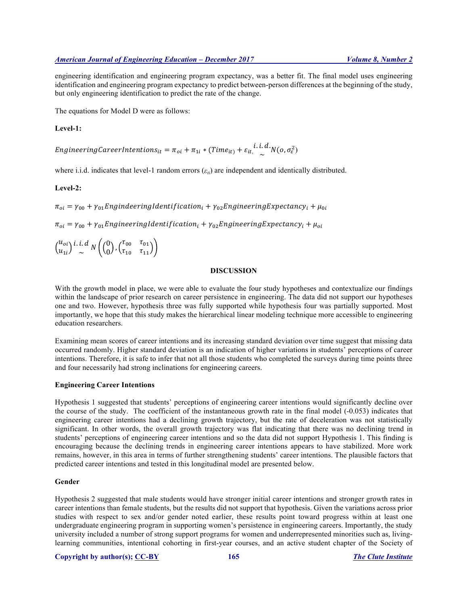engineering identification and engineering program expectancy, was a better fit. The final model uses engineering identification and engineering program expectancy to predict between-person differences at the beginning of the study, but only engineering identification to predict the rate of the change.

The equations for Model D were as follows:

## **Level-1:**

EngineeringCareerIntentions<sub>it</sub> =  $\pi_{oi} + \pi_{1i} * (Time_{it}) + \varepsilon_{it} \cdot \frac{i \cdot i \cdot d}{\sim} N(o, \sigma_{\varepsilon}^2)$ 

where i.i.d. indicates that level-1 random errors (*εti*) are independent and identically distributed.

# **Level-2:**

 $\pi_{oi} = \gamma_{00} + \gamma_{01}$ EngindeeringIdentification<sub>i</sub> +  $\gamma_{02}$ EngineeringExpectancy<sub>i</sub> +  $\mu_{0i}$ 

 $\pi_{oi} = \gamma_{00} + \gamma_{01}$ EngineeringIdentification<sub>i</sub> +  $\gamma_{02}$ EngineeringExpectancy<sub>i</sub> +  $\mu_{oi}$ 

 $u_{oi}$  $u_{1i}$ *i. i. d*  $N\left(\binom{0}{0}, \binom{\tau_{00}}{\tau_{10}} \frac{\tau_{01}}{\tau_{11}}\right)$ 

## **DISCUSSION**

With the growth model in place, we were able to evaluate the four study hypotheses and contextualize our findings within the landscape of prior research on career persistence in engineering. The data did not support our hypotheses one and two. However, hypothesis three was fully supported while hypothesis four was partially supported. Most importantly, we hope that this study makes the hierarchical linear modeling technique more accessible to engineering education researchers.

Examining mean scores of career intentions and its increasing standard deviation over time suggest that missing data occurred randomly. Higher standard deviation is an indication of higher variations in students' perceptions of career intentions. Therefore, it is safe to infer that not all those students who completed the surveys during time points three and four necessarily had strong inclinations for engineering careers.

#### **Engineering Career Intentions**

Hypothesis 1 suggested that students' perceptions of engineering career intentions would significantly decline over the course of the study. The coefficient of the instantaneous growth rate in the final model (-0.053) indicates that engineering career intentions had a declining growth trajectory, but the rate of deceleration was not statistically significant. In other words, the overall growth trajectory was flat indicating that there was no declining trend in students' perceptions of engineering career intentions and so the data did not support Hypothesis 1. This finding is encouraging because the declining trends in engineering career intentions appears to have stabilized. More work remains, however, in this area in terms of further strengthening students' career intentions. The plausible factors that predicted career intentions and tested in this longitudinal model are presented below.

#### **Gender**

Hypothesis 2 suggested that male students would have stronger initial career intentions and stronger growth rates in career intentions than female students, but the results did not support that hypothesis. Given the variations across prior studies with respect to sex and/or gender noted earlier, these results point toward progress within at least one undergraduate engineering program in supporting women's persistence in engineering careers. Importantly, the study university included a number of strong support programs for women and underrepresented minorities such as, livinglearning communities, intentional cohorting in first-year courses, and an active student chapter of the Society of

## **Copyright by author(s); CC-BY 165** *The Clute Institute*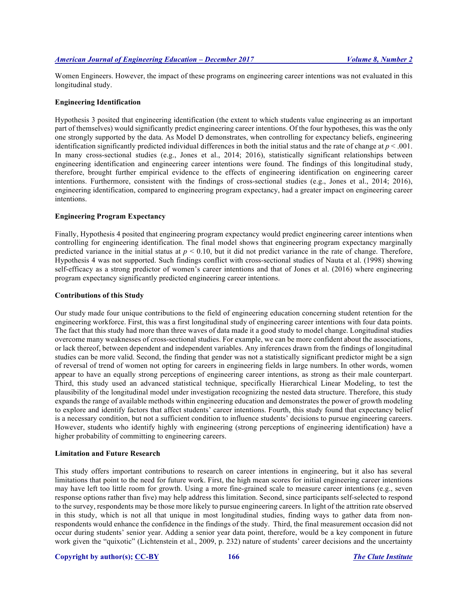Women Engineers. However, the impact of these programs on engineering career intentions was not evaluated in this longitudinal study.

## **Engineering Identification**

Hypothesis 3 posited that engineering identification (the extent to which students value engineering as an important part of themselves) would significantly predict engineering career intentions. Of the four hypotheses, this was the only one strongly supported by the data. As Model D demonstrates, when controlling for expectancy beliefs, engineering identification significantly predicted individual differences in both the initial status and the rate of change at  $p < .001$ . In many cross-sectional studies (e.g., Jones et al., 2014; 2016), statistically significant relationships between engineering identification and engineering career intentions were found. The findings of this longitudinal study, therefore, brought further empirical evidence to the effects of engineering identification on engineering career intentions. Furthermore, consistent with the findings of cross-sectional studies (e.g., Jones et al., 2014; 2016), engineering identification, compared to engineering program expectancy, had a greater impact on engineering career intentions.

## **Engineering Program Expectancy**

Finally, Hypothesis 4 posited that engineering program expectancy would predict engineering career intentions when controlling for engineering identification. The final model shows that engineering program expectancy marginally predicted variance in the initial status at  $p < 0.10$ , but it did not predict variance in the rate of change. Therefore, Hypothesis 4 was not supported. Such findings conflict with cross-sectional studies of Nauta et al. (1998) showing self-efficacy as a strong predictor of women's career intentions and that of Jones et al. (2016) where engineering program expectancy significantly predicted engineering career intentions.

#### **Contributions of this Study**

Our study made four unique contributions to the field of engineering education concerning student retention for the engineering workforce. First, this was a first longitudinal study of engineering career intentions with four data points. The fact that this study had more than three waves of data made it a good study to model change. Longitudinal studies overcome many weaknesses of cross-sectional studies. For example, we can be more confident about the associations, or lack thereof, between dependent and independent variables. Any inferences drawn from the findings of longitudinal studies can be more valid. Second, the finding that gender was not a statistically significant predictor might be a sign of reversal of trend of women not opting for careers in engineering fields in large numbers. In other words, women appear to have an equally strong perceptions of engineering career intentions, as strong as their male counterpart. Third, this study used an advanced statistical technique, specifically Hierarchical Linear Modeling, to test the plausibility of the longitudinal model under investigation recognizing the nested data structure. Therefore, this study expands the range of available methods within engineering education and demonstrates the power of growth modeling to explore and identify factors that affect students' career intentions. Fourth, this study found that expectancy belief is a necessary condition, but not a sufficient condition to influence students' decisions to pursue engineering careers. However, students who identify highly with engineering (strong perceptions of engineering identification) have a higher probability of committing to engineering careers.

# **Limitation and Future Research**

This study offers important contributions to research on career intentions in engineering, but it also has several limitations that point to the need for future work. First, the high mean scores for initial engineering career intentions may have left too little room for growth. Using a more fine-grained scale to measure career intentions (e.g., seven response options rather than five) may help address this limitation. Second, since participants self-selected to respond to the survey, respondents may be those more likely to pursue engineering careers. In light of the attrition rate observed in this study, which is not all that unique in most longitudinal studies, finding ways to gather data from nonrespondents would enhance the confidence in the findings of the study. Third, the final measurement occasion did not occur during students' senior year. Adding a senior year data point, therefore, would be a key component in future work given the "quixotic" (Lichtenstein et al., 2009, p. 232) nature of students' career decisions and the uncertainty

#### **Copyright by author(s); CC-BY 166** *The Clute Institute*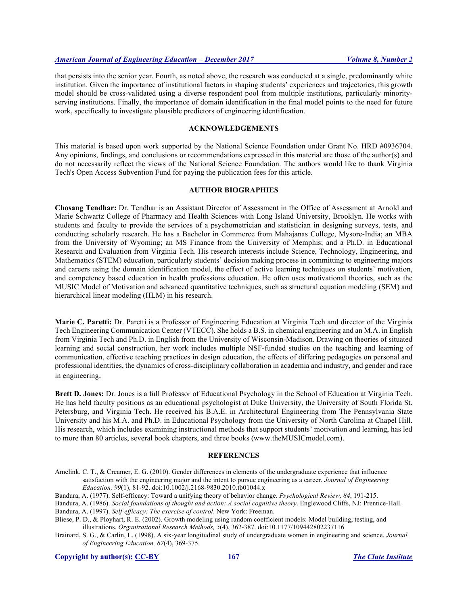that persists into the senior year. Fourth, as noted above, the research was conducted at a single, predominantly white institution. Given the importance of institutional factors in shaping students' experiences and trajectories, this growth model should be cross-validated using a diverse respondent pool from multiple institutions, particularly minorityserving institutions. Finally, the importance of domain identification in the final model points to the need for future work, specifically to investigate plausible predictors of engineering identification.

## **ACKNOWLEDGEMENTS**

This material is based upon work supported by the National Science Foundation under Grant No. HRD #0936704. Any opinions, findings, and conclusions or recommendations expressed in this material are those of the author(s) and do not necessarily reflect the views of the National Science Foundation. The authors would like to thank Virginia Tech's Open Access Subvention Fund for paying the publication fees for this article.

# **AUTHOR BIOGRAPHIES**

**Chosang Tendhar:** Dr. Tendhar is an Assistant Director of Assessment in the Office of Assessment at Arnold and Marie Schwartz College of Pharmacy and Health Sciences with Long Island University, Brooklyn. He works with students and faculty to provide the services of a psychometrician and statistician in designing surveys, tests, and conducting scholarly research. He has a Bachelor in Commerce from Mahajanas College, Mysore-India; an MBA from the University of Wyoming; an MS Finance from the University of Memphis; and a Ph.D. in Educational Research and Evaluation from Virginia Tech. His research interests include Science, Technology, Engineering, and Mathematics (STEM) education, particularly students' decision making process in committing to engineering majors and careers using the domain identification model, the effect of active learning techniques on students' motivation, and competency based education in health professions education. He often uses motivational theories, such as the MUSIC Model of Motivation and advanced quantitative techniques, such as structural equation modeling (SEM) and hierarchical linear modeling (HLM) in his research.

**Marie C. Paretti:** Dr. Paretti is a Professor of Engineering Education at Virginia Tech and director of the Virginia Tech Engineering Communication Center (VTECC). She holds a B.S. in chemical engineering and an M.A. in English from Virginia Tech and Ph.D. in English from the University of Wisconsin-Madison. Drawing on theories of situated learning and social construction, her work includes multiple NSF-funded studies on the teaching and learning of communication, effective teaching practices in design education, the effects of differing pedagogies on personal and professional identities, the dynamics of cross-disciplinary collaboration in academia and industry, and gender and race in engineering.

**Brett D. Jones:** Dr. Jones is a full Professor of Educational Psychology in the School of Education at Virginia Tech. He has held faculty positions as an educational psychologist at Duke University, the University of South Florida St. Petersburg, and Virginia Tech. He received his B.A.E. in Architectural Engineering from The Pennsylvania State University and his M.A. and Ph.D. in Educational Psychology from the University of North Carolina at Chapel Hill. His research, which includes examining instructional methods that support students' motivation and learning, has led to more than 80 articles, several book chapters, and three books (www.theMUSICmodel.com).

## **REFERENCES**

- Amelink, C. T., & Creamer, E. G. (2010). Gender differences in elements of the undergraduate experience that influence satisfaction with the engineering major and the intent to pursue engineering as a career. *Journal of Engineering Education, 99*(1), 81-92. doi:10.1002/j.2168-9830.2010.tb01044.x
- Bandura, A. (1977). Self-efficacy: Toward a unifying theory of behavior change. *Psychological Review, 84*, 191-215.
- Bandura, A. (1986). *Social foundations of thought and action: A social cognitive theory*. Englewood Cliffs, NJ: Prentice-Hall. Bandura, A. (1997). *Self-efficacy: The exercise of control*. New York: Freeman.
- 
- Bliese, P. D., & Ployhart, R. E. (2002). Growth modeling using random coefficient models: Model building, testing, and illustrations. *Organizational Research Methods, 5*(4), 362-387. doi:10.1177/109442802237116
- Brainard, S. G., & Carlin, L. (1998). A six-year longitudinal study of undergraduate women in engineering and science. *Journal of Engineering Education, 87*(4), 369-375.

**Copyright by author(s); CC-BY 167** *The Clute Institute*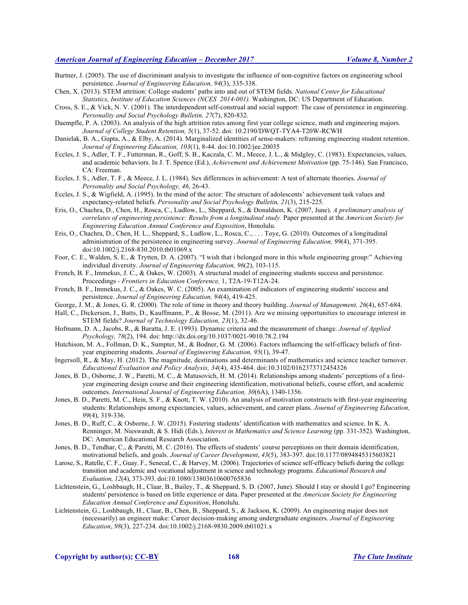Burtner, J. (2005). The use of discriminant analysis to investigate the influence of non-cognitive factors on engineering school persistence. *Journal of Engineering Education, 94*(3), 335-338.

Chen, X. (2013). STEM attrition: College students' paths into and out of STEM fields. *National Center for Educational Statistics, Institute of Education Sciences (NCES 2014-001).* Washington, DC: US Department of Education.

- Cross, S. E., & Vick, N. V. (2001). The interdependent self-construal and social support: The case of persistence in engineering. *Personality and Social Psychology Bulletin, 27*(7), 820-832.
- Daempfle, P. A. (2003). An analysis of the high attrition rates among first year college science, math and engineering majors. *Journal of College Student Retention, 5*(1), 37-52. doi: 10.2190/DWQT-TYA4-T20W-RCWH
- Danielak, B. A., Gupta, A., & Elby, A. (2014). Marginalized identities of sense-makers: reframing engineering student retention. *Journal of Engineering Education, 103*(1), 8-44. doi:10.1002/jee.20035
- Eccles, J. S., Adler, T. F., Futterman, R., Goff, S. B., Kaczala, C. M., Meece, J. L., & Midgley, C. (1983). Expectancies, values, and academic behaviors. In J. T. Spence (Ed.), *Achievement and Achievement Motivation* (pp. 75-146). San Francisco, CA: Freeman.
- Eccles, J. S., Adler, T. F., & Meece, J. L. (1984). Sex differences in achievement: A test of alternate theories. *Journal of Personality and Social Psychology, 46*, 26-43.
- Eccles, J. S., & Wigfield, A. (1995). In the mind of the actor: The structure of adolescents' achievement task values and expectancy-related beliefs. *Personality and Social Psychology Bulletin, 21*(3), 215-225.
- Eris, O., Chachra, D., Chen, H., Rosca, C., Ludlow, L., Sheppard, S., & Donaldson, K. (2007, June). *A preliminary analysis of correlates of engineering persistence: Results from a longitudinal study.* Paper presented at the *American Society for Engineering Education Annual Conference and Exposition*, Honolulu.
- Eris, O., Chachra, D., Chen, H. L., Sheppard, S., Ludlow, L., Rosca, C., . . . Toye, G. (2010). Outcomes of a longitudinal administration of the persistence in engineering survey. *Journal of Engineering Education, 99*(4), 371-395. doi:10.1002/j.2168-830.2010.tb01069.x
- Foor, C. E., Walden, S. E., & Trytten, D. A. (2007). "I wish that i belonged more in this whole engineering group:" Achieving individual diversity. *Journal of Engineering Education, 96*(2), 103-115.
- French, B. F., Immekus, J. C., & Oakes, W. (2003). A structural model of engineering students success and persistence. Proceedings - *Frontiers in Education Conference,* 1, T2A-19-T12A-24.
- French, B. F., Immekus, J. C., & Oakes, W. C. (2005). An examination of indicators of engineering students' success and persistence. *Journal of Engineering Education, 94*(4), 419-425.
- George, J. M., & Jones, G. R. (2000). The role of time in theory and theory building. *Journal of Management, 26*(4), 657-684.
- Hall, C., Dickerson, J., Batts, D., Kauffmann, P., & Bosse, M. (2011). Are we missing opportunities to encourage interest in STEM fields? *Journal of Technology Education, 23*(1), 32-46.
- Hofmann, D. A., Jacobs, R., & Baratta, J. E. (1993). Dynamic criteria and the measurement of change. *Journal of Applied Psychology, 78*(2), 194. doi: http://dx.doi.org/10.1037/0021-9010.78.2.194
- Hutchison, M. A., Follman, D. K., Sumpter, M., & Bodner, G. M. (2006). Factors influencing the self-efficacy beliefs of firstyear engineering students. *Journal of Engineering Education, 95*(1), 39-47.
- Ingersoll, R., & May, H. (2012). The magnitude, destinations and determinants of mathematics and science teacher turnover. *Educational Evaluation and Policy Analysis, 34*(4), 435-464. doi:10.3102/0162373712454326
- Jones, B. D., Osborne, J. W., Paretti, M. C., & Matusovich, H. M. (2014). Relationships among students' perceptions of a firstyear engineering design course and their engineering identification, motivational beliefs, course effort, and academic outcomes. *International Journal of Engineering Education, 30*(6A), 1340-1356.
- Jones, B. D., Paretti, M. C., Hein, S. F., & Knott, T. W. (2010). An analysis of motivation constructs with first-year engineering students: Relationships among expectancies, values, achievement, and career plans. *Journal of Engineering Education, 99*(4), 319-336.
- Jones, B. D., Ruff, C., & Osborne, J. W. (2015). Fostering students' identification with mathematics and science. In K. A. Renninger, M. Nieswandt, & S. Hidi (Eds.), *Interest in Mathematics and Science Learning* (pp. 331-352). Washington, DC: American Educational Research Association.
- Jones, B. D., Tendhar, C., & Paretti, M. C. (2016). The effects of students' course perceptions on their domain identification, motivational beliefs, and goals. *Journal of Career Development*, *43*(5), 383-397. doi:10.1177/0894845315603821
- Larose, S., Ratelle, C. F., Guay. F., Senecal, C., & Harvey, M. (2006). Trajectories of science self-efficacy beliefs during the college transition and academic and vocational adjustment in science and technology programs. *Educational Research and Evaluation, 12*(4), 373-393. doi:10.1080/13803610600765836
- Lichtenstein, G., Loshbaugh, H., Claar, B., Bailey, T., & Sheppard, S. D. (2007, June). Should I stay or should I go? Engineering students' persistence is based on little experience or data. Paper presented at the *American Society for Engineering Education Annual Conference and Exposition*, Honolulu.
- Lichtenstein, G., Loshbaugh, H., Claar, B., Chen, B., Sheppard, S., & Jackson, K. (2009). An engineering major does not (necessarily) an engineer make: Career decision-making among undergraduate engineers. *Journal of Engineering Education*, *98*(3), 227-234. doi:10.1002/j.2168-9830.2009.tb01021.x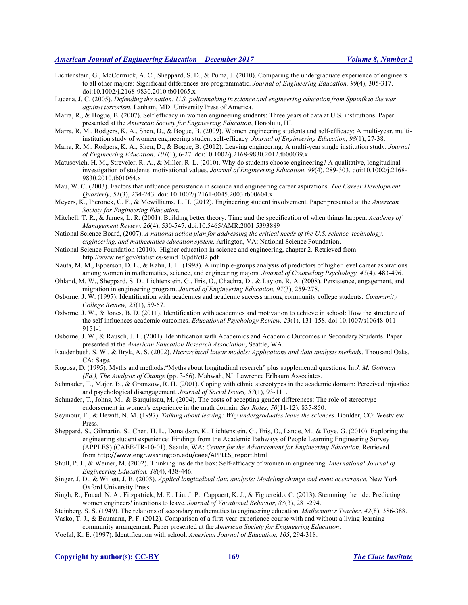- Lichtenstein, G., McCormick, A. C., Sheppard, S. D., & Puma, J. (2010). Comparing the undergraduate experience of engineers to all other majors: Significant differences are programmatic. *Journal of Engineering Education, 99*(4), 305-317. doi:10.1002/j.2168-9830.2010.tb01065.x
- Lucena, J. C. (2005). *Defending the nation: U.S. policymaking in science and engineering education from Sputnik to the war against terrorism.* Lanham, MD: University Press of America.
- Marra, R., & Bogue, B. (2007). Self efficacy in women engineering students: Three years of data at U.S. institutions. Paper presented at the *American Society for Engineering Education*, Honolulu, HI.
- Marra, R. M., Rodgers, K. A., Shen, D., & Bogue, B. (2009). Women engineering students and self-efficacy: A multi-year, multiinstitution study of women engineering student self-efficacy. *Journal of Engineering Education, 98*(1), 27-38.
- Marra, R. M., Rodgers, K. A., Shen, D., & Bogue, B. (2012). Leaving engineering: A multi-year single institution study. *Journal of Engineering Education, 101*(1), 6-27. doi:10.1002/j.2168-9830.2012.tb00039.x
- Matusovich, H. M., Streveler, R. A., & Miller, R. L. (2010). Why do students choose engineering? A qualitative, longitudinal investigation of students' motivational values. *Journal of Engineering Education, 99*(4), 289-303. doi:10.1002/j.2168- 9830.2010.tb01064.x
- Mau, W. C. (2003). Factors that influence persistence in science and engineering career aspirations. *The Career Development Quarterly, 51*(3), 234-243. doi: 10.1002/j.2161-0045.2003.tb00604.x
- Meyers, K., Pieronek, C. F., & Mcwilliams, L. H. (2012). Engineering student involvement. Paper presented at the *American Society for Engineering Education*.
- Mitchell, T. R., & James, L. R. (2001). Building better theory: Time and the specification of when things happen. *Academy of Management Review, 26*(4), 530-547. doi:10.5465/AMR.2001.5393889
- National Science Board, (2007). *A national action plan for addressing the critical needs of the U.S. science, technology, engineering, and mathematics education system.* Arlington, VA: National Science Foundation.
- National Science Foundation (2010). Higher education in science and engineering, chapter 2. Retrieved from http://www.nsf.gov/statistics/seind10/pdf/c02.pdf
- Nauta, M. M., Epperson, D. L., & Kahn, J. H. (1998). A multiple-groups analysis of predictors of higher level career aspirations among women in mathematics, science, and engineering majors. *Journal of Counseling Psychology, 45*(4), 483-496.
- Ohland, M. W., Sheppard, S. D., Lichtenstein, G., Eris, O., Chachra, D., & Layton, R. A. (2008). Persistence, engagement, and migration in engineering program. *Journal of Engineering Education, 97*(3), 259-278.
- Osborne, J. W. (1997). Identification with academics and academic success among community college students. *Community College Review, 25*(1), 59-67.
- Osborne, J. W., & Jones, B. D. (2011). Identification with academics and motivation to achieve in school: How the structure of the self influences academic outcomes. *Educational Psychology Review, 23*(1), 131-158. doi:10.1007/s10648-011- 9151-1
- Osborne, J. W., & Rausch, J. L. (2001). Identification with Academics and Academic Outcomes in Secondary Students. Paper presented at the *American Education Research Association*, Seattle, WA.
- Raudenbush, S. W., & Bryk, A. S. (2002). *Hierarchical linear models: Applications and data analysis methods*. Thousand Oaks, CA: Sage.
- Rogosa, D. (1995). Myths and methods:"Myths about longitudinal research" plus supplemental questions. In *J. M. Gottman (Ed.), The Analysis of Change* (pp. 3-66). Mahwah, NJ: Lawrence Erlbaum Associates.
- Schmader, T., Major, B., & Gramzow, R. H. (2001). Coping with ethnic stereotypes in the academic domain: Perceived injustice and psychological disengagement. *Journal of Social Issues, 57*(1), 93-111.
- Schmader, T., Johns, M., & Barquissau, M. (2004). The costs of accepting gender differences: The role of stereotype endorsement in women's experience in the math domain. *Sex Roles, 50*(11-12), 835-850.
- Seymour, E., & Hewitt, N. M. (1997). *Talking about leaving: Why undergraduates leave the sciences*. Boulder, CO: Westview Press.
- Sheppard, S., Gilmartin, S., Chen, H. L., Donaldson, K., Lichtenstein, G., Eriş, Ö., Lande, M., & Toye, G. (2010). Exploring the engineering student experience: Findings from the Academic Pathways of People Learning Engineering Survey (APPLES) (CAEE-TR-10-01). Seattle, WA: *Center for the Advancement for Engineering Education*. Retrieved from http://www.engr.washington.edu/caee/APPLES\_report.html
- Shull, P. J., & Weiner, M. (2002). Thinking inside the box: Self-efficacy of women in engineering. *International Journal of Engineering Education, 18*(4), 438-446.
- Singer, J. D., & Willett, J. B. (2003). *Applied longitudinal data analysis: Modeling change and event occurrence*. New York: Oxford University Press.
- Singh, R., Fouad, N. A., Fitzpatrick, M. E., Liu, J. P., Cappaert, K. J., & Figuereido, C. (2013). Stemming the tide: Predicting women engineers' intentions to leave. *Journal of Vocational Behavior, 83*(3), 281-294.
- Steinberg, S. S. (1949). The relations of secondary mathematicsto engineering education. *Mathematics Teacher, 42*(8), 386-388. Vasko, T. J., & Baumann, P. F. (2012). Comparison of a first-year-experience course with and without a living-learning-
- community arrangement. Paper presented at the *American Society for Engineering Education*. Voelkl, K. E. (1997). Identification with school. *American Journal of Education, 105*, 294-318.